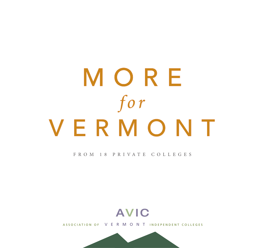# MORE *for* VERMONT

#### F R O M 1 8 P R I VAT E C O L L E G E S



ASSOCIATION OF VERMONT INDEPENDENT COLLEGES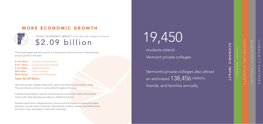# MORE ECONOMIC GROWTH

TOTAL ECONOMIC IMPACT of the 18 private colleges in Vermont \$2.09 billion

The private higher education sector is a driving force behind economic development and job growth in the state:

\$1.04 billion . . . Institutional Expenditures \$197 million . . . Construction Expenditures \$112 million . . . Student Spending \$58 million . . . . Visitor Spending \$678 million . . . Faculty & Staff Spending

### Total: \$2.09 Billion

MORE

Vermont's private colleges create clean, green jobs that boost the state's vitality. They are industry anchors in communities throughout the state.

TALENT MAGNET  $\overline{\leq}$ 

 $\mathbf{m}$ ECONOMIC IMPACT  $\Omega$ ONONIC IMPAC

Institutional spending on payroll, purchasing and construction makes a formidable impact with other spending providing an additional infusion .

Students spend their college savings in Vermont and all those connected with higher education are also active consumers. Spending by students, visitors, and staff enriches the towns, cities, and regions hosting the campuses .

SUPPORTING STUDENTS

# 19,450

students attend Vermont private colleges

Vermont's private colleges also attract an estimated 138,456 visitors, friends, and families annually .

# COMMUNITY COMMUNITY PARTNERS PARTNE  $\overline{z}$ ഗ

 $\leq$ WORKFORCE CATALYST  $\bigcirc$ **BKFO**  $\bar{\mathcal{L}}$  $\Box$ TALY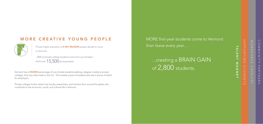SUPPORTING STUDENTS

TALENT MAGNE TALENT MAGNET  $\rightarrow$ 

### MORE CREATIVE YOUNG PEOPLE

...80% of private college students come from out-of-state that's over  $15,500$  young people.

to Vermont.

Vermont has a **HIGHER** percentage of out-of-state students seeking a degree, mostly at private colleges, than any other state in the U.S. This creates a pool of students who are a source of talent for employers.

Private colleges further attract top faculty, researchers, and scholars from around the globe who contribute to the economic, social, and cultural life in Vermont.

...creating a BRAIN GAIN of 2,800 students.

COMMUNITY COMMUNITY PARTNERS PARTNE  $\overline{z}$  $\circ$ 

 $\lesssim$ WORKFORCE CATALYST  $\bigcirc$ RKFORC  $\triangleright$ TALY  $-1$ 



Private higher education is **A KEY REASON** people decide to move

MORE first-year students come to Vermont than leave every year…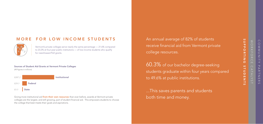### MORE FOR LOW INCOME STUDENTS

Vermont's private colleges serve nearly the same percentage — 21.6% compared to 23.2% at four-year public institutions — of low-income students who qualify for need-based Pell grants.

#### Sources of Student Aid Grants at Vermont Private Colleges

Giving more institutional aid *from their own resources* than ever before, awards at Vermont private colleges are the largest, and still growing, part of student financial aid. This empowers students to choose the college that best meets their goals and aspirations.

(All figures in millions)





An annual average of 82% of students college resources.

# receive financial aid from Vermont private

60.3% of our bachelor degree-seeking to 49.6% at public institutions.

- students graduate within four years compared
	-

SUPPORTING SUPPORTING STUDENTS  $\mathsf{S}$ TUDENTS

WORKFORCE CATALYST **BKFO**  $\bar{x}$  $\Box$  $\bigcap$ TALY

COMMUNITY COMMUNITY PARTNERS PARTNE  $\overline{z}$  $\circ$ 

...This saves parents and students both time and money.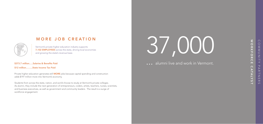### MORE JOB CREATION

Vermont's private higher education industry supports **7,102 EMPLOYEES** across the state, driving local economies and growing the state's revenue base.

Private higher education generates still **MORE** jobs because capital spending and construction adds \$197 million more into Vermont's economy.

#### \$373.7 million…..Salaries & Benefits Paid

\$12 million……...State Income Tax Paid

Students from across the state, nation, and world choose to study at Vermont's private colleges. As alumni, they include the next generation of entrepreneurs, coders, artists, teachers, nurses, scientists, and business executives, as well as government and community leaders. The result is a surge of workforce engagement.

## ... alumni live and work in Vermont.

 $\bigcap$ COMMUNITY PARTNERS UNUUNUNU PARTNE  $\overline{z}$  $\sigma$ 

# NORKFORC WORKFORCE CATALYST  $\mathbf{m}$  $\Omega$ ATALYS  $\overline{\phantom{0}}$



# 37,000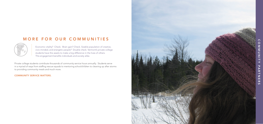### MORE FOR OUR COMMUNITIES



Economic vitality? Check. Brain gain? Check. Sizable population of creative, civic-minded, and energetic people? Double check. Vermont's private college students have the assets to make a big difference in the lives of others. This engagement benefits individuals and society alike.

Private college students contribute thousands of community service hours annually. Students serve in a myriad of ways from staffing rescue squads to mentoring schoolchildren to cleaning up after storms to providing community meals and much more.

#### COMMUNITY SERVICE MATTERS.